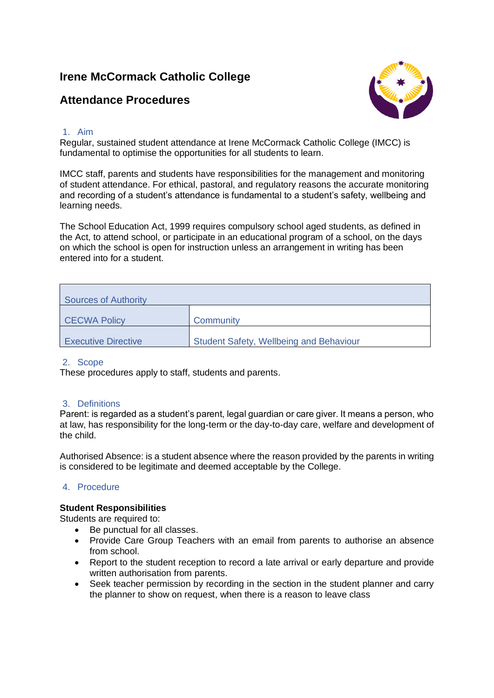# **Irene McCormack Catholic College**

# **Attendance Procedures**



## 1. Aim

Regular, sustained student attendance at Irene McCormack Catholic College (IMCC) is fundamental to optimise the opportunities for all students to learn.

IMCC staff, parents and students have responsibilities for the management and monitoring of student attendance. For ethical, pastoral, and regulatory reasons the accurate monitoring and recording of a student's attendance is fundamental to a student's safety, wellbeing and learning needs.

The School Education Act, 1999 requires compulsory school aged students, as defined in the Act, to attend school, or participate in an educational program of a school, on the days on which the school is open for instruction unless an arrangement in writing has been entered into for a student.

| <b>Sources of Authority</b> |                                                |  |  |  |
|-----------------------------|------------------------------------------------|--|--|--|
| <b>CECWA Policy</b>         | Community                                      |  |  |  |
| <b>Executive Directive</b>  | <b>Student Safety, Wellbeing and Behaviour</b> |  |  |  |

## 2. Scope

These procedures apply to staff, students and parents.

# 3. Definitions

Parent: is regarded as a student's parent, legal guardian or care giver. It means a person, who at law, has responsibility for the long-term or the day-to-day care, welfare and development of the child.

Authorised Absence: is a student absence where the reason provided by the parents in writing is considered to be legitimate and deemed acceptable by the College.

# 4. Procedure

## **Student Responsibilities**

Students are required to:

- Be punctual for all classes.
- Provide Care Group Teachers with an email from parents to authorise an absence from school.
- Report to the student reception to record a late arrival or early departure and provide written authorisation from parents.
- Seek teacher permission by recording in the section in the student planner and carry the planner to show on request, when there is a reason to leave class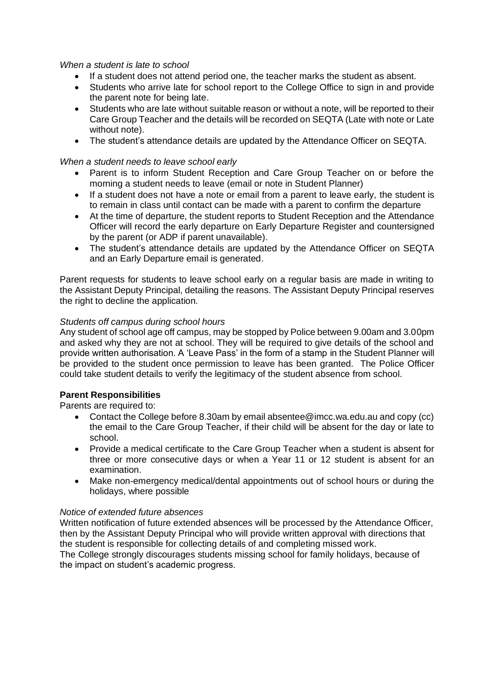#### *When a student is late to school*

- If a student does not attend period one, the teacher marks the student as absent.
- Students who arrive late for school report to the College Office to sign in and provide the parent note for being late.
- Students who are late without suitable reason or without a note, will be reported to their Care Group Teacher and the details will be recorded on SEQTA (Late with note or Late without note).
- The student's attendance details are updated by the Attendance Officer on SEQTA.

#### *When a student needs to leave school early*

- Parent is to inform Student Reception and Care Group Teacher on or before the morning a student needs to leave (email or note in Student Planner)
- If a student does not have a note or email from a parent to leave early, the student is to remain in class until contact can be made with a parent to confirm the departure
- At the time of departure, the student reports to Student Reception and the Attendance Officer will record the early departure on Early Departure Register and countersigned by the parent (or ADP if parent unavailable).
- The student's attendance details are updated by the Attendance Officer on SEQTA and an Early Departure email is generated.

Parent requests for students to leave school early on a regular basis are made in writing to the Assistant Deputy Principal, detailing the reasons. The Assistant Deputy Principal reserves the right to decline the application.

## *Students off campus during school hours*

Any student of school age off campus, may be stopped by Police between 9.00am and 3.00pm and asked why they are not at school. They will be required to give details of the school and provide written authorisation. A 'Leave Pass' in the form of a stamp in the Student Planner will be provided to the student once permission to leave has been granted. The Police Officer could take student details to verify the legitimacy of the student absence from school.

## **Parent Responsibilities**

Parents are required to:

- Contact the College before 8.30am by email absentee@imcc.wa.edu.au and copy (cc) the email to the Care Group Teacher, if their child will be absent for the day or late to school.
- Provide a medical certificate to the Care Group Teacher when a student is absent for three or more consecutive days or when a Year 11 or 12 student is absent for an examination.
- Make non-emergency medical/dental appointments out of school hours or during the holidays, where possible

#### *Notice of extended future absences*

Written notification of future extended absences will be processed by the Attendance Officer, then by the Assistant Deputy Principal who will provide written approval with directions that the student is responsible for collecting details of and completing missed work.

The College strongly discourages students missing school for family holidays, because of the impact on student's academic progress.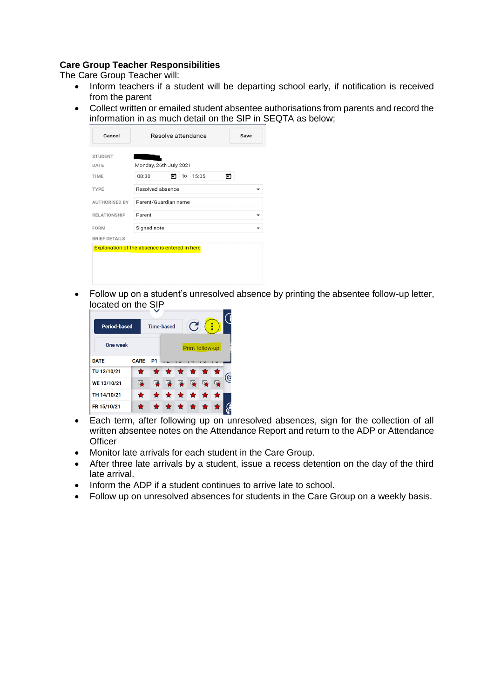# **Care Group Teacher Responsibilities**

The Care Group Teacher will:

- Inform teachers if a student will be departing school early, if notification is received from the parent
- Collect written or emailed student absentee authorisations from parents and record the information in as much detail on the SIP in SEQTA as below;

| Cancel                                               | Resolve attendance<br>Save |  |  |  |
|------------------------------------------------------|----------------------------|--|--|--|
| <b>STUDENT</b>                                       |                            |  |  |  |
| <b>DATE</b>                                          | Monday, 26th July 2021     |  |  |  |
| <b>TIME</b>                                          | 15:05<br>08:30<br>to<br>n  |  |  |  |
| <b>TYPE</b>                                          | Resolved absence           |  |  |  |
| <b>AUTHORISED BY</b>                                 | Parent/Guardian name       |  |  |  |
| <b>RELATIONSHIP</b>                                  | Parent                     |  |  |  |
| <b>FORM</b>                                          | Signed note                |  |  |  |
| <b>BRIEF DETAILS</b>                                 |                            |  |  |  |
| <b>Explanation of the absence is entered in here</b> |                            |  |  |  |
|                                                      |                            |  |  |  |
|                                                      |                            |  |  |  |
|                                                      |                            |  |  |  |

• Follow up on a student's unresolved absence by printing the absentee follow-up letter, located on the SIP



- Each term, after following up on unresolved absences, sign for the collection of all written absentee notes on the Attendance Report and return to the ADP or Attendance **Officer**
- Monitor late arrivals for each student in the Care Group.
- After three late arrivals by a student, issue a recess detention on the day of the third late arrival.
- Inform the ADP if a student continues to arrive late to school.
- Follow up on unresolved absences for students in the Care Group on a weekly basis.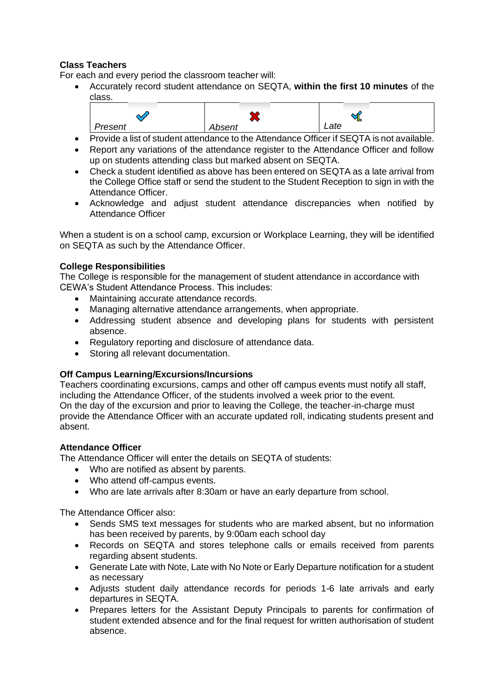# **Class Teachers**

For each and every period the classroom teacher will:

• Accurately record student attendance on SEQTA, **within the first 10 minutes** of the class.



- Provide a list of student attendance to the Attendance Officer if SEQTA is not available. • Report any variations of the attendance register to the Attendance Officer and follow
- up on students attending class but marked absent on SEQTA.
- Check a student identified as above has been entered on SEQTA as a late arrival from the College Office staff or send the student to the Student Reception to sign in with the Attendance Officer.
- Acknowledge and adjust student attendance discrepancies when notified by Attendance Officer

When a student is on a school camp, excursion or Workplace Learning, they will be identified on SEQTA as such by the Attendance Officer.

## **College Responsibilities**

The College is responsible for the management of student attendance in accordance with CEWA's Student Attendance Process. This includes:

- Maintaining accurate attendance records.
- Managing alternative attendance arrangements, when appropriate.
- Addressing student absence and developing plans for students with persistent absence.
- Regulatory reporting and disclosure of attendance data.
- Storing all relevant documentation.

# **Off Campus Learning/Excursions/Incursions**

Teachers coordinating excursions, camps and other off campus events must notify all staff, including the Attendance Officer, of the students involved a week prior to the event. On the day of the excursion and prior to leaving the College, the teacher-in-charge must provide the Attendance Officer with an accurate updated roll, indicating students present and absent.

# **Attendance Officer**

The Attendance Officer will enter the details on SEQTA of students:

- Who are notified as absent by parents.
- Who attend off-campus events.
- Who are late arrivals after 8:30am or have an early departure from school.

The Attendance Officer also:

- Sends SMS text messages for students who are marked absent, but no information has been received by parents, by 9:00am each school day
- Records on SEQTA and stores telephone calls or emails received from parents regarding absent students.
- Generate Late with Note, Late with No Note or Early Departure notification for a student as necessary
- Adjusts student daily attendance records for periods 1-6 late arrivals and early departures in SEQTA.
- Prepares letters for the Assistant Deputy Principals to parents for confirmation of student extended absence and for the final request for written authorisation of student absence.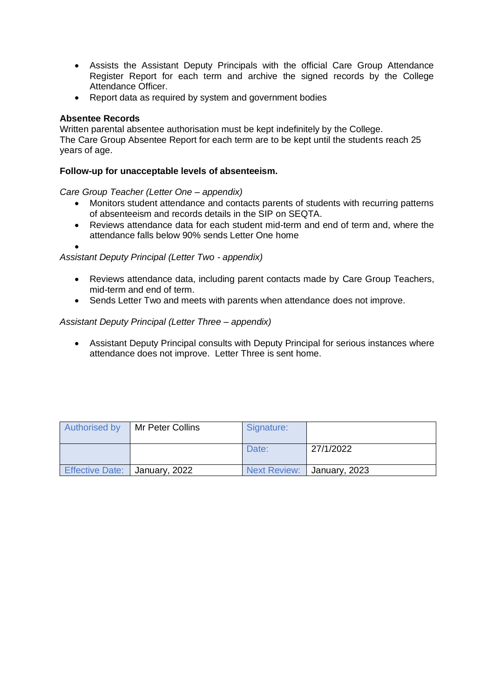- Assists the Assistant Deputy Principals with the official Care Group Attendance Register Report for each term and archive the signed records by the College Attendance Officer.
- Report data as required by system and government bodies

## **Absentee Records**

Written parental absentee authorisation must be kept indefinitely by the College. The Care Group Absentee Report for each term are to be kept until the students reach 25 years of age.

#### **Follow-up for unacceptable levels of absenteeism.**

*Care Group Teacher (Letter One – appendix)*

- Monitors student attendance and contacts parents of students with recurring patterns of absenteeism and records details in the SIP on SEQTA.
- Reviews attendance data for each student mid-term and end of term and, where the attendance falls below 90% sends Letter One home

•

#### *Assistant Deputy Principal (Letter Two - appendix)*

- Reviews attendance data, including parent contacts made by Care Group Teachers, mid-term and end of term.
- Sends Letter Two and meets with parents when attendance does not improve.

## *Assistant Deputy Principal (Letter Three – appendix)*

• Assistant Deputy Principal consults with Deputy Principal for serious instances where attendance does not improve. Letter Three is sent home.

| <b>Authorised by</b>                   | Mr Peter Collins | Signature: |                              |
|----------------------------------------|------------------|------------|------------------------------|
|                                        |                  | Date:      | 27/1/2022                    |
| <b>Effective Date:   January, 2022</b> |                  |            | Next Review:   January, 2023 |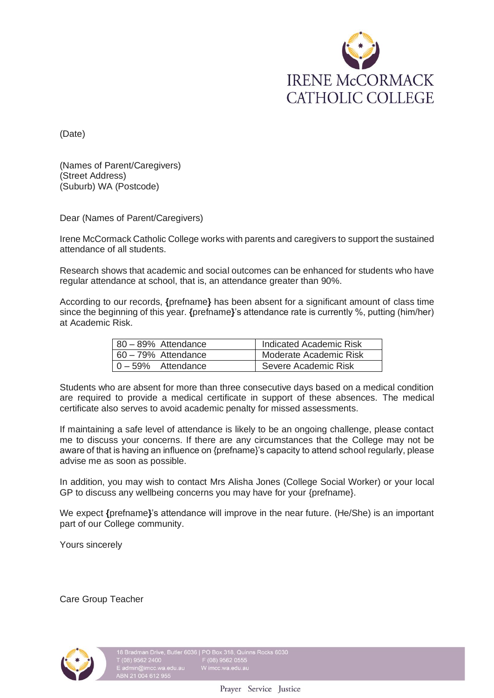

(Date)

(Names of Parent/Caregivers) (Street Address) (Suburb) WA (Postcode)

Dear (Names of Parent/Caregivers)

Irene McCormack Catholic College works with parents and caregivers to support the sustained attendance of all students.

Research shows that academic and social outcomes can be enhanced for students who have regular attendance at school, that is, an attendance greater than 90%.

According to our records, **{**prefname**}** has been absent for a significant amount of class time since the beginning of this year. **{**prefname**}**'s attendance rate is currently %, putting (him/her) at Academic Risk.

| $80 - 89%$ Attendance | Indicated Academic Risk |
|-----------------------|-------------------------|
| 60 – 79% Attendance   | Moderate Academic Risk  |
| 0-59% Attendance      | Severe Academic Risk    |

Students who are absent for more than three consecutive days based on a medical condition are required to provide a medical certificate in support of these absences. The medical certificate also serves to avoid academic penalty for missed assessments.

If maintaining a safe level of attendance is likely to be an ongoing challenge, please contact me to discuss your concerns. If there are any circumstances that the College may not be aware of that is having an influence on {prefname}'s capacity to attend school regularly, please advise me as soon as possible.

In addition, you may wish to contact Mrs Alisha Jones (College Social Worker) or your local GP to discuss any wellbeing concerns you may have for your {prefname}.

We expect **{**prefname**}**'s attendance will improve in the near future. (He/She) is an important part of our College community.

Yours sincerely

Care Group Teacher

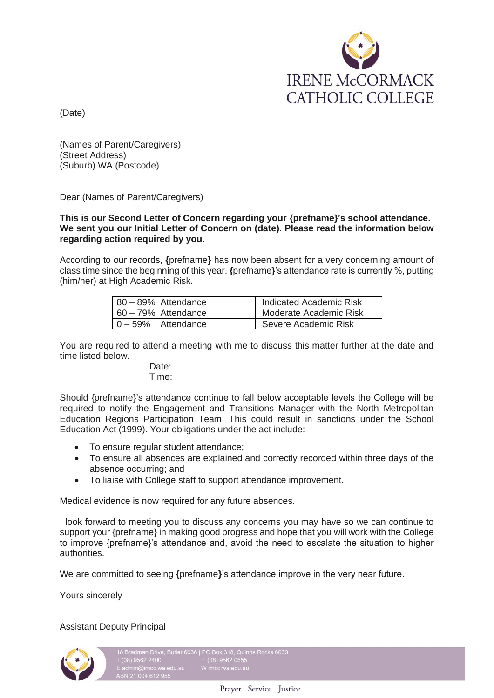

(Date)

(Names of Parent/Caregivers) (Street Address) (Suburb) WA (Postcode)

Dear (Names of Parent/Caregivers)

**This is our Second Letter of Concern regarding your {prefname}'s school attendance. We sent you our Initial Letter of Concern on (date). Please read the information below regarding action required by you.**

According to our records, **{**prefname**}** has now been absent for a very concerning amount of class time since the beginning of this year. **{**prefname**}**'s attendance rate is currently %, putting (him/her) at High Academic Risk.

| 80 - 89% Attendance         | Indicated Academic Risk |
|-----------------------------|-------------------------|
| $60 - 79\%$ Attendance      | Moderate Academic Risk  |
| $\vert 0 - 59\%$ Attendance | Severe Academic Risk    |

You are required to attend a meeting with me to discuss this matter further at the date and time listed below.

#### Date: Time:

Should {prefname}'s attendance continue to fall below acceptable levels the College will be required to notify the Engagement and Transitions Manager with the North Metropolitan Education Regions Participation Team. This could result in sanctions under the School Education Act (1999). Your obligations under the act include:

- To ensure regular student attendance;
- To ensure all absences are explained and correctly recorded within three days of the absence occurring; and
- To liaise with College staff to support attendance improvement.

Medical evidence is now required for any future absences.

I look forward to meeting you to discuss any concerns you may have so we can continue to support your {prefname} in making good progress and hope that you will work with the College to improve {prefname}'s attendance and, avoid the need to escalate the situation to higher authorities.

We are committed to seeing **{**prefname**}**'s attendance improve in the very near future.

Yours sincerely

Assistant Deputy Principal